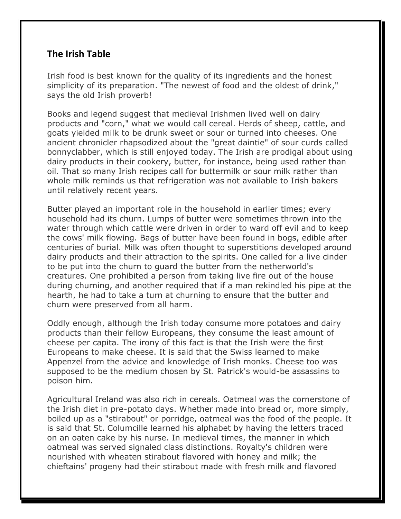## **The Irish Table**

Irish food is best known for the quality of its ingredients and the honest simplicity of its preparation. "The newest of food and the oldest of drink," says the old Irish proverb!

Books and legend suggest that medieval Irishmen lived well on dairy products and "corn," what we would call cereal. Herds of sheep, cattle, and goats yielded milk to be drunk sweet or sour or turned into cheeses. One ancient chronicler rhapsodized about the "great daintie" of sour curds called bonnyclabber, which is still enjoyed today. The Irish are prodigal about using dairy products in their cookery, butter, for instance, being used rather than oil. That so many Irish recipes call for buttermilk or sour milk rather than whole milk reminds us that refrigeration was not available to Irish bakers until relatively recent years.

Butter played an important role in the household in earlier times; every household had its churn. Lumps of butter were sometimes thrown into the water through which cattle were driven in order to ward off evil and to keep the cows' milk flowing. Bags of butter have been found in bogs, edible after centuries of burial. Milk was often thought to superstitions developed around dairy products and their attraction to the spirits. One called for a live cinder to be put into the churn to guard the butter from the netherworld's creatures. One prohibited a person from taking live fire out of the house during churning, and another required that if a man rekindled his pipe at the hearth, he had to take a turn at churning to ensure that the butter and churn were preserved from all harm.

Oddly enough, although the Irish today consume more potatoes and dairy products than their fellow Europeans, they consume the least amount of cheese per capita. The irony of this fact is that the Irish were the first Europeans to make cheese. It is said that the Swiss learned to make Appenzel from the advice and knowledge of Irish monks. Cheese too was supposed to be the medium chosen by St. Patrick's would-be assassins to poison him.

Agricultural Ireland was also rich in cereals. Oatmeal was the cornerstone of the Irish diet in pre-potato days. Whether made into bread or, more simply, boiled up as a "stirabout" or porridge, oatmeal was the food of the people. It is said that St. Columcille learned his alphabet by having the letters traced on an oaten cake by his nurse. In medieval times, the manner in which oatmeal was served signaled class distinctions. Royalty's children were nourished with wheaten stirabout flavored with honey and milk; the chieftains' progeny had their stirabout made with fresh milk and flavored